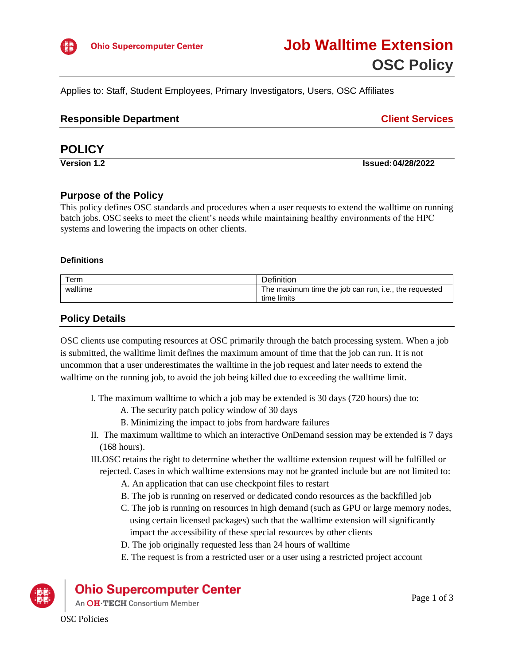

Applies to: Staff, Student Employees, Primary Investigators, Users, OSC Affiliates

### **Client Services**

# **POLICY**

**Version 1.2 Issued:04/28/2022**

### **Purpose of the Policy**

This policy defines OSC standards and procedures when a user requests to extend the walltime on running batch jobs. OSC seeks to meet the client's needs while maintaining healthy environments of the HPC systems and lowering the impacts on other clients.

#### **Definitions**

| $\tau$ erm | Definition                                            |
|------------|-------------------------------------------------------|
| walltime   | The maximum time the job can run, i.e., the requested |
|            | time limits                                           |

### **Policy Details**

OSC clients use computing resources at OSC primarily through the batch processing system. When a job is submitted, the walltime limit defines the maximum amount of time that the job can run. It is not uncommon that a user underestimates the walltime in the job request and later needs to extend the walltime on the running job, to avoid the job being killed due to exceeding the walltime limit.

- I. The maximum walltime to which a job may be extended is 30 days (720 hours) due to:
	- A. The security patch policy window of 30 days
	- B. Minimizing the impact to jobs from hardware failures
- II. The maximum walltime to which an interactive OnDemand session may be extended is 7 days (168 hours).
- III.OSC retains the right to determine whether the walltime extension request will be fulfilled or
	- rejected. Cases in which walltime extensions may not be granted include but are not limited to:
		- A. An application that can use checkpoint files to restart
		- B. The job is running on reserved or dedicated condo resources as the backfilled job
		- C. The job is running on resources in high demand (such as GPU or large memory nodes, using certain licensed packages) such that the walltime extension will significantly impact the accessibility of these special resources by other clients
		- D. The job originally requested less than 24 hours of walltime
		- E. The request is from a restricted user or a user using a restricted project account



**Ohio Supercomputer Center** 

An OH·TECH Consortium Member

OSC Policies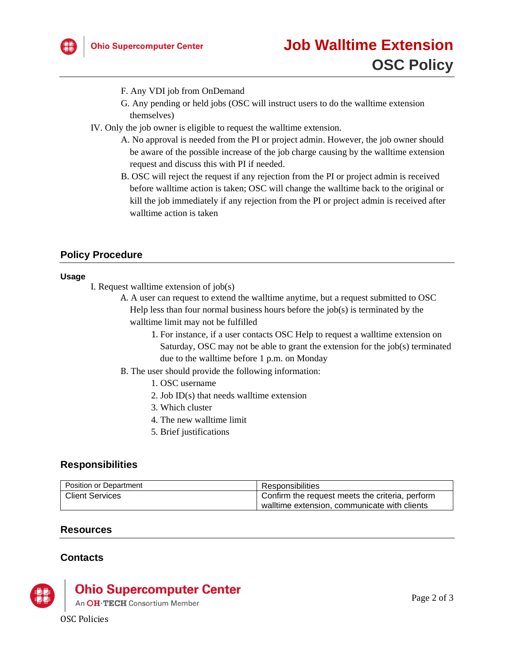

- F. Any VDI job from OnDemand
- G. Any pending or held jobs (OSC will instruct users to do the walltime extension themselves)
- IV. Only the job owner is eligible to request the walltime extension.
	- A. No approval is needed from the PI or project admin. However, the job owner should be aware of the possible increase of the job charge causing by the walltime extension request and discuss this with PI if needed.
	- B. OSC will reject the request if any rejection from the PI or project admin is received before walltime action is taken; OSC will change the walltime back to the original or kill the job immediately if any rejection from the PI or project admin is received after walltime action is taken

# **Policy Procedure**

#### **Usage**

- I. Request walltime extension of job(s)
	- A. A user can request to extend the walltime anytime, but a request submitted to OSC Help less than four normal business hours before the  $job(s)$  is terminated by the walltime limit may not be fulfilled
		- 1. For instance, if a user contacts OSC Help to request a walltime extension on Saturday, OSC may not be able to grant the extension for the job(s) terminated due to the walltime before 1 p.m. on Monday
	- B. The user should provide the following information:
		- 1. OSC username
		- 2. Job ID(s) that needs walltime extension
		- 3. Which cluster
		- 4. The new walltime limit
		- 5. Brief justifications

# **Responsibilities**

| <b>Position or Department</b> | Responsibilities                                |
|-------------------------------|-------------------------------------------------|
| Client Services               | Confirm the request meets the criteria, perform |
|                               | walltime extension, communicate with clients    |

### **Resources**

# **Contacts**



# **Ohio Supercomputer Center**

An OH·TECH Consortium Member